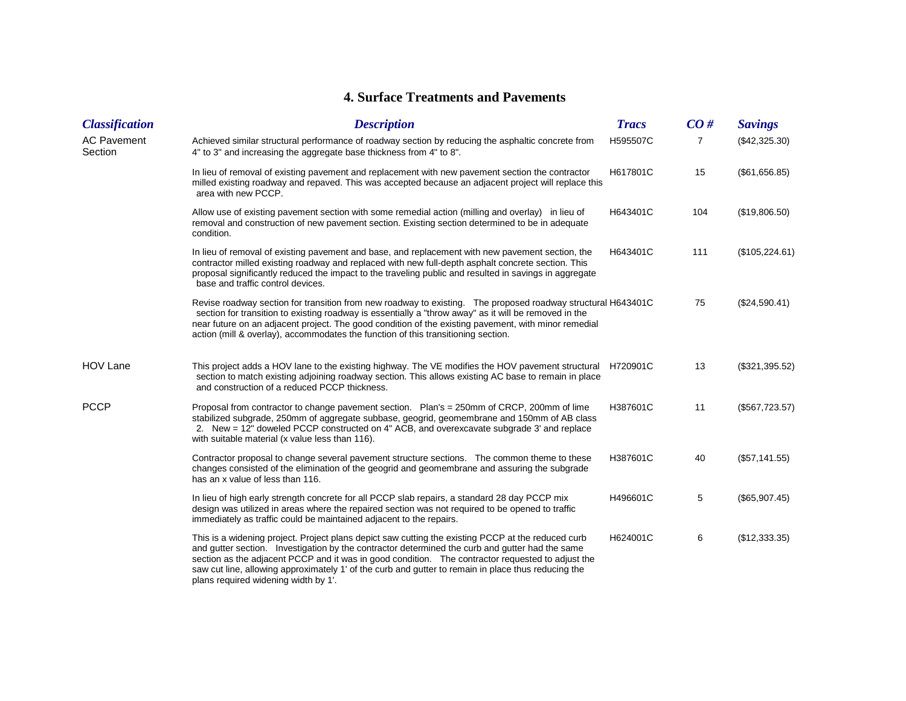## **4. Surface Treatments and Pavements**

| <b>Classification</b>         | <b>Description</b>                                                                                                                                                                                                                                                                                                                                                                                                                                        | <b>Tracs</b> | CO# | <b>Savings</b> |
|-------------------------------|-----------------------------------------------------------------------------------------------------------------------------------------------------------------------------------------------------------------------------------------------------------------------------------------------------------------------------------------------------------------------------------------------------------------------------------------------------------|--------------|-----|----------------|
| <b>AC Pavement</b><br>Section | Achieved similar structural performance of roadway section by reducing the asphaltic concrete from<br>4" to 3" and increasing the aggregate base thickness from 4" to 8".                                                                                                                                                                                                                                                                                 | H595507C     | 7   | (\$42,325.30)  |
|                               | In lieu of removal of existing pavement and replacement with new pavement section the contractor<br>milled existing roadway and repaved. This was accepted because an adjacent project will replace this<br>area with new PCCP.                                                                                                                                                                                                                           | H617801C     | 15  | (\$61,656.85)  |
|                               | Allow use of existing pavement section with some remedial action (milling and overlay) in lieu of<br>removal and construction of new pavement section. Existing section determined to be in adequate<br>condition.                                                                                                                                                                                                                                        | H643401C     | 104 | (\$19,806.50)  |
|                               | In lieu of removal of existing pavement and base, and replacement with new pavement section, the<br>contractor milled existing roadway and replaced with new full-depth asphalt concrete section. This<br>proposal significantly reduced the impact to the traveling public and resulted in savings in aggregate<br>base and traffic control devices.                                                                                                     | H643401C     | 111 | (\$105,224.61) |
|                               | Revise roadway section for transition from new roadway to existing. The proposed roadway structural H643401C<br>section for transition to existing roadway is essentially a "throw away" as it will be removed in the<br>near future on an adjacent project. The good condition of the existing pavement, with minor remedial<br>action (mill & overlay), accommodates the function of this transitioning section.                                        |              | 75  | (\$24,590.41)  |
| <b>HOV Lane</b>               | This project adds a HOV lane to the existing highway. The VE modifies the HOV pavement structural H720901C<br>section to match existing adjoining roadway section. This allows existing AC base to remain in place<br>and construction of a reduced PCCP thickness.                                                                                                                                                                                       |              | 13  | (\$321,395.52) |
| <b>PCCP</b>                   | Proposal from contractor to change pavement section.  Plan's = 250mm of CRCP, 200mm of lime<br>stabilized subgrade, 250mm of aggregate subbase, geogrid, geomembrane and 150mm of AB class<br>2. New = 12" doweled PCCP constructed on 4" ACB, and overexcavate subgrade 3' and replace<br>with suitable material (x value less than 116).                                                                                                                | H387601C     | 11  | (\$567,723.57) |
|                               | Contractor proposal to change several pavement structure sections. The common theme to these<br>changes consisted of the elimination of the geogrid and geomembrane and assuring the subgrade<br>has an x value of less than 116.                                                                                                                                                                                                                         | H387601C     | 40  | (\$57,141.55)  |
|                               | In lieu of high early strength concrete for all PCCP slab repairs, a standard 28 day PCCP mix<br>design was utilized in areas where the repaired section was not required to be opened to traffic<br>immediately as traffic could be maintained adjacent to the repairs.                                                                                                                                                                                  | H496601C     | 5   | (\$65,907.45)  |
|                               | This is a widening project. Project plans depict saw cutting the existing PCCP at the reduced curb<br>and gutter section. Investigation by the contractor determined the curb and gutter had the same<br>section as the adjacent PCCP and it was in good condition. The contractor requested to adjust the<br>saw cut line, allowing approximately 1' of the curb and gutter to remain in place thus reducing the<br>plans required widening width by 1'. | H624001C     | 6   | (\$12,333.35)  |